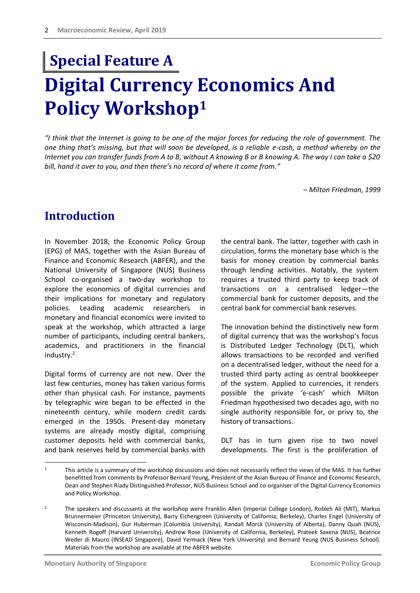# **Digital Currency Economics And Policy Workshop<sup>1</sup> Special Feature A**

*"I think that the Internet is going to be one of the major forces for reducing the role of government. The one thing that's missing, but that will soon be developed, is a reliable e-cash, a method whereby on the Internet you can transfer funds from A to B, without A knowing B or B knowing A. The way I can take a \$20 bill, hand it over to you, and then there's no record of where it came from."*

*– Milton Friedman, 1999*

## **Introduction**

In November 2018, the Economic Policy Group (EPG) of MAS, together with the Asian Bureau of Finance and Economic Research (ABFER), and the National University of Singapore (NUS) Business School co-organised a two-day workshop to explore the economics of digital currencies and their implications for monetary and regulatory policies. Leading academic researchers in monetary and financial economics were invited to speak at the workshop, which attracted a large number of participants, including central bankers, academics, and practitioners in the financial industry.<sup>2</sup>

Digital forms of currency are not new. Over the last few centuries, money has taken various forms other than physical cash. For instance, payments by telegraphic wire began to be effected in the nineteenth century, while modern credit cards emerged in the 1950s. Present-day monetary systems are already mostly digital, comprising customer deposits held with commercial banks, and bank reserves held by commercial banks with the central bank. The latter, together with cash in circulation, forms the monetary base which is the basis for money creation by commercial banks through lending activities. Notably, the system requires a trusted third party to keep track of transactions on a centralised ledger—the commercial bank for customer deposits, and the central bank for commercial bank reserves.

The innovation behind the distinctively new form of digital currency that was the workshop's focus is Distributed Ledger Technology (DLT), which allows transactions to be recorded and verified on a decentralised ledger, without the need for a trusted third party acting as central bookkeeper of the system. Applied to currencies, it renders possible the private 'e-cash' which Milton Friedman hypothesised two decades ago, with no single authority responsible for, or privy to, the history of transactions.

DLT has in turn given rise to two novel developments. The first is the proliferation of

 $\overline{1}$ This article is a summary of the workshop discussions and does not necessarily reflect the views of the MAS. It has further benefitted from comments by Professor Bernard Yeung, President of the Asian Bureau of Finance and Economic Research, Dean and Stephen Riady Distinguished Professor, NUS Business School and co-organiser of the Digital Currency Economics and Policy Workshop.

<sup>&</sup>lt;sup>2</sup> The speakers and discussants at the workshop were Franklin Allen (Imperial College London), Robleh Ali (MIT), Markus Brunnermeier (Princeton University), Barry Eichengreen (University of California, Berkeley), Charles Engel (University of Wisconsin-Madison), Gur Huberman (Columbia University), Randall Morck (University of Alberta), Danny Quah (NUS), Kenneth Rogoff (Harvard University), Andrew Rose (University of California, Berkeley), Prateek Saxena (NUS), Beatrice Weder di Mauro (INSEAD Singapore), David Yermack (New York University) and Bernard Yeung (NUS Business School). Materials from the workshop are available at th[e ABFER website.](http://abfer.org/events/abfer-events/specialty-conference/125:digitalcurrency2018)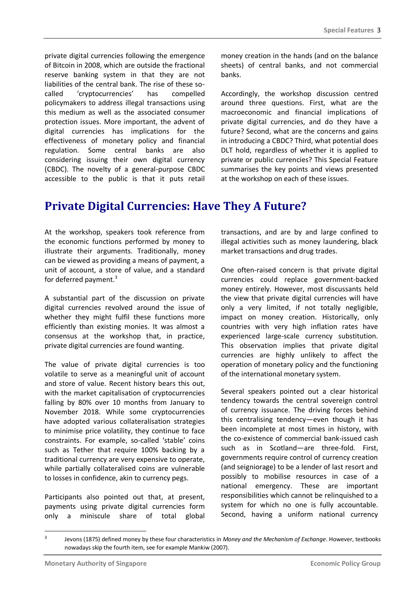private digital currencies following the emergence of Bitcoin in 2008, which are outside the fractional reserve banking system in that they are not liabilities of the central bank. The rise of these socalled 'cryptocurrencies' has compelled policymakers to address illegal transactions using this medium as well as the associated consumer protection issues. More important, the advent of digital currencies has implications for the effectiveness of monetary policy and financial regulation. Some central banks are also considering issuing their own digital currency (CBDC). The novelty of a general-purpose CBDC accessible to the public is that it puts retail

money creation in the hands (and on the balance sheets) of central banks, and not commercial banks.

Accordingly, the workshop discussion centred around three questions. First, what are the macroeconomic and financial implications of private digital currencies, and do they have a future? Second, what are the concerns and gains in introducing a CBDC? Third, what potential does DLT hold, regardless of whether it is applied to private or public currencies? This Special Feature summarises the key points and views presented at the workshop on each of these issues.

### **Private Digital Currencies: Have They A Future?**

At the workshop, speakers took reference from the economic functions performed by money to illustrate their arguments. Traditionally, money can be viewed as providing a means of payment, a unit of account, a store of value, and a standard for deferred payment.<sup>3</sup>

A substantial part of the discussion on private digital currencies revolved around the issue of whether they might fulfil these functions more efficiently than existing monies. It was almost a consensus at the workshop that, in practice, private digital currencies are found wanting.

The value of private digital currencies is too volatile to serve as a meaningful unit of account and store of value. Recent history bears this out, with the market capitalisation of cryptocurrencies falling by 80% over 10 months from January to November 2018. While some cryptocurrencies have adopted various collateralisation strategies to minimise price volatility, they continue to face constraints. For example, so-called 'stable' coins such as Tether that require 100% backing by a traditional currency are very expensive to operate, while partially collateralised coins are vulnerable to losses in confidence, akin to currency pegs.

Participants also pointed out that, at present, payments using private digital currencies form only a miniscule share of total global transactions, and are by and large confined to illegal activities such as money laundering, black market transactions and drug trades.

One often-raised concern is that private digital currencies could replace government-backed money entirely. However, most discussants held the view that private digital currencies will have only a very limited, if not totally negligible, impact on money creation. Historically, only countries with very high inflation rates have experienced large-scale currency substitution. This observation implies that private digital currencies are highly unlikely to affect the operation of monetary policy and the functioning of the international monetary system.

Several speakers pointed out a clear historical tendency towards the central sovereign control of currency issuance. The driving forces behind this centralising tendency—even though it has been incomplete at most times in history, with the co-existence of commercial bank-issued cash such as in Scotland—are three-fold. First, governments require control of currency creation (and seigniorage) to be a lender of last resort and possibly to mobilise resources in case of a national emergency. These are important responsibilities which cannot be relinquished to a system for which no one is fully accountable. Second, having a uniform national currency

-

<sup>3</sup> Jevons (1875) defined money by these four characteristics in *Money and the Mechanism of Exchange*. However, textbooks nowadays skip the fourth item, see for example Mankiw (2007).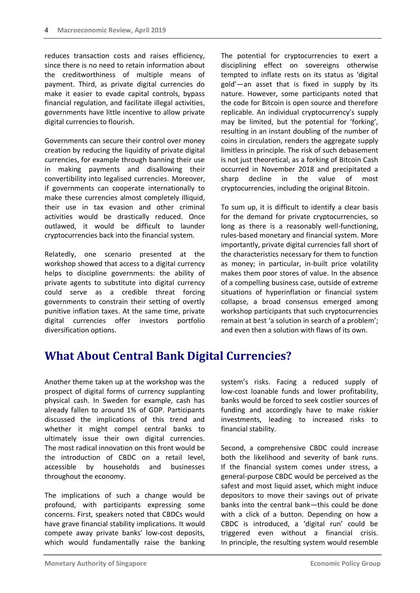reduces transaction costs and raises efficiency, since there is no need to retain information about the creditworthiness of multiple means of payment. Third, as private digital currencies do make it easier to evade capital controls, bypass financial regulation, and facilitate illegal activities, governments have little incentive to allow private digital currencies to flourish.

Governments can secure their control over money creation by reducing the liquidity of private digital currencies, for example through banning their use in making payments and disallowing their convertibility into legalised currencies. Moreover, if governments can cooperate internationally to make these currencies almost completely illiquid, their use in tax evasion and other criminal activities would be drastically reduced. Once outlawed, it would be difficult to launder cryptocurrencies back into the financial system.

Relatedly, one scenario presented at the workshop showed that access to a digital currency helps to discipline governments: the ability of private agents to substitute into digital currency could serve as a credible threat forcing governments to constrain their setting of overtly punitive inflation taxes. At the same time, private digital currencies offer investors portfolio diversification options.

The potential for cryptocurrencies to exert a disciplining effect on sovereigns otherwise tempted to inflate rests on its status as 'digital gold'—an asset that is fixed in supply by its nature. However, some participants noted that the code for Bitcoin is open source and therefore replicable. An individual cryptocurrency's supply may be limited, but the potential for 'forking', resulting in an instant doubling of the number of coins in circulation, renders the aggregate supply limitless in principle. The risk of such debasement is not just theoretical, as a forking of Bitcoin Cash occurred in November 2018 and precipitated a sharp decline in the value of most cryptocurrencies, including the original Bitcoin.

To sum up, it is difficult to identify a clear basis for the demand for private cryptocurrencies, so long as there is a reasonably well-functioning, rules-based monetary and financial system. More importantly, private digital currencies fall short of the characteristics necessary for them to function as money; in particular, in-built price volatility makes them poor stores of value. In the absence of a compelling business case, outside of extreme situations of hyperinflation or financial system collapse, a broad consensus emerged among workshop participants that such cryptocurrencies remain at best 'a solution in search of a problem'; and even then a solution with flaws of its own.

# **What About Central Bank Digital Currencies?**

Another theme taken up at the workshop was the prospect of digital forms of currency supplanting physical cash. In Sweden for example, cash has already fallen to around 1% of GDP. Participants discussed the implications of this trend and whether it might compel central banks to ultimately issue their own digital currencies. The most radical innovation on this front would be the introduction of CBDC on a retail level, accessible by households and businesses throughout the economy.

The implications of such a change would be profound, with participants expressing some concerns. First, speakers noted that CBDCs would have grave financial stability implications. It would compete away private banks' low-cost deposits, which would fundamentally raise the banking system's risks. Facing a reduced supply of low-cost loanable funds and lower profitability, banks would be forced to seek costlier sources of funding and accordingly have to make riskier investments, leading to increased risks to financial stability.

Second, a comprehensive CBDC could increase both the likelihood and severity of bank runs. If the financial system comes under stress, a general-purpose CBDC would be perceived as the safest and most liquid asset, which might induce depositors to move their savings out of private banks into the central bank—this could be done with a click of a button. Depending on how a CBDC is introduced, a 'digital run' could be triggered even without a financial crisis. In principle, the resulting system would resemble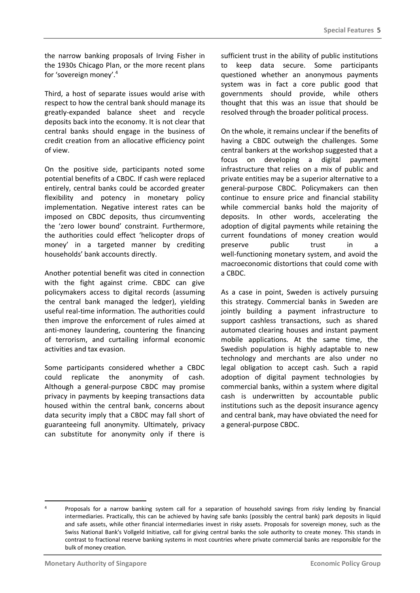the narrow banking proposals of Irving Fisher in the 1930s Chicago Plan, or the more recent plans for 'sovereign money'.<sup>4</sup>

Third, a host of separate issues would arise with respect to how the central bank should manage its greatly-expanded balance sheet and recycle deposits back into the economy. It is not clear that central banks should engage in the business of credit creation from an allocative efficiency point of view.

On the positive side, participants noted some potential benefits of a CBDC. If cash were replaced entirely, central banks could be accorded greater flexibility and potency in monetary policy implementation. Negative interest rates can be imposed on CBDC deposits, thus circumventing the 'zero lower bound' constraint. Furthermore, the authorities could effect 'helicopter drops of money' in a targeted manner by crediting households' bank accounts directly.

Another potential benefit was cited in connection with the fight against crime. CBDC can give policymakers access to digital records (assuming the central bank managed the ledger), yielding useful real-time information. The authorities could then improve the enforcement of rules aimed at anti-money laundering, countering the financing of terrorism, and curtailing informal economic activities and tax evasion.

Some participants considered whether a CBDC could replicate the anonymity of cash. Although a general-purpose CBDC may promise privacy in payments by keeping transactions data housed within the central bank, concerns about data security imply that a CBDC may fall short of guaranteeing full anonymity. Ultimately, privacy can substitute for anonymity only if there is

sufficient trust in the ability of public institutions to keep data secure. Some participants questioned whether an anonymous payments system was in fact a core public good that governments should provide, while others thought that this was an issue that should be resolved through the broader political process.

On the whole, it remains unclear if the benefits of having a CBDC outweigh the challenges. Some central bankers at the workshop suggested that a focus on developing a digital payment infrastructure that relies on a mix of public and private entities may be a superior alternative to a general-purpose CBDC. Policymakers can then continue to ensure price and financial stability while commercial banks hold the majority of deposits. In other words, accelerating the adoption of digital payments while retaining the current foundations of money creation would preserve public trust in a well-functioning monetary system, and avoid the macroeconomic distortions that could come with a CBDC.

As a case in point, Sweden is actively pursuing this strategy. Commercial banks in Sweden are jointly building a payment infrastructure to support cashless transactions, such as shared automated clearing houses and instant payment mobile applications. At the same time, the Swedish population is highly adaptable to new technology and merchants are also under no legal obligation to accept cash. Such a rapid adoption of digital payment technologies by commercial banks, within a system where digital cash is underwritten by accountable public institutions such as the deposit insurance agency and central bank, may have obviated the need for a general-purpose CBDC.

-

<sup>4</sup> Proposals for a narrow banking system call for a separation of household savings from risky lending by financial intermediaries. Practically, this can be achieved by having safe banks (possibly the central bank) park deposits in liquid and safe assets, while other financial intermediaries invest in risky assets. Proposals for sovereign money, such as the Swiss National Bank's Vollgeld Initiative, call for giving central banks the sole authority to create money. This stands in contrast to fractional reserve banking systems in most countries where private commercial banks are responsible for the bulk of money creation.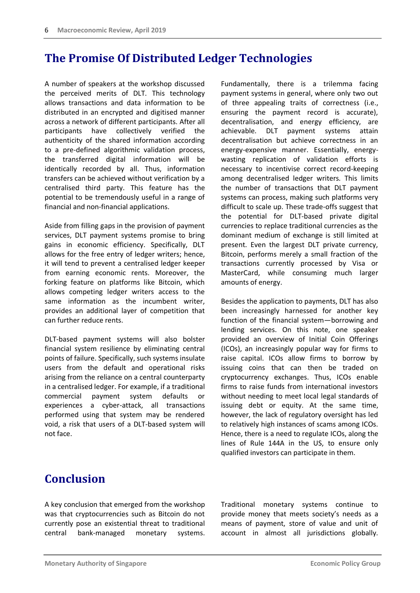### **The Promise Of Distributed Ledger Technologies**

A number of speakers at the workshop discussed the perceived merits of DLT. This technology allows transactions and data information to be distributed in an encrypted and digitised manner across a network of different participants. After all participants have collectively verified the authenticity of the shared information according to a pre-defined algorithmic validation process, the transferred digital information will be identically recorded by all. Thus, information transfers can be achieved without verification by a centralised third party. This feature has the potential to be tremendously useful in a range of financial and non-financial applications.

Aside from filling gaps in the provision of payment services, DLT payment systems promise to bring gains in economic efficiency. Specifically, DLT allows for the free entry of ledger writers; hence, it will tend to prevent a centralised ledger keeper from earning economic rents. Moreover, the forking feature on platforms like Bitcoin, which allows competing ledger writers access to the same information as the incumbent writer, provides an additional layer of competition that can further reduce rents.

DLT-based payment systems will also bolster financial system resilience by eliminating central points of failure. Specifically, such systems insulate users from the default and operational risks arising from the reliance on a central counterparty in a centralised ledger. For example, if a traditional commercial payment system defaults or experiences a cyber-attack, all transactions performed using that system may be rendered void, a risk that users of a DLT-based system will not face.

Fundamentally, there is a trilemma facing payment systems in general, where only two out of three appealing traits of correctness (i.e., ensuring the payment record is accurate), decentralisation, and energy efficiency, are achievable. DLT payment systems attain decentralisation but achieve correctness in an energy-expensive manner. Essentially, energywasting replication of validation efforts is necessary to incentivise correct record-keeping among decentralised ledger writers. This limits the number of transactions that DLT payment systems can process, making such platforms very difficult to scale up. These trade-offs suggest that the potential for DLT-based private digital currencies to replace traditional currencies as the dominant medium of exchange is still limited at present. Even the largest DLT private currency, Bitcoin, performs merely a small fraction of the transactions currently processed by Visa or MasterCard, while consuming much larger amounts of energy.

Besides the application to payments, DLT has also been increasingly harnessed for another key function of the financial system—borrowing and lending services. On this note, one speaker provided an overview of Initial Coin Offerings (ICOs), an increasingly popular way for firms to raise capital. ICOs allow firms to borrow by issuing coins that can then be traded on cryptocurrency exchanges. Thus, ICOs enable firms to raise funds from international investors without needing to meet local legal standards of issuing debt or equity. At the same time, however, the lack of regulatory oversight has led to relatively high instances of scams among ICOs. Hence, there is a need to regulate ICOs, along the lines of Rule 144A in the US, to ensure only qualified investors can participate in them.

# **Conclusion**

A key conclusion that emerged from the workshop was that cryptocurrencies such as Bitcoin do not currently pose an existential threat to traditional central bank-managed monetary systems.

Traditional monetary systems continue to provide money that meets society's needs as a means of payment, store of value and unit of account in almost all jurisdictions globally.